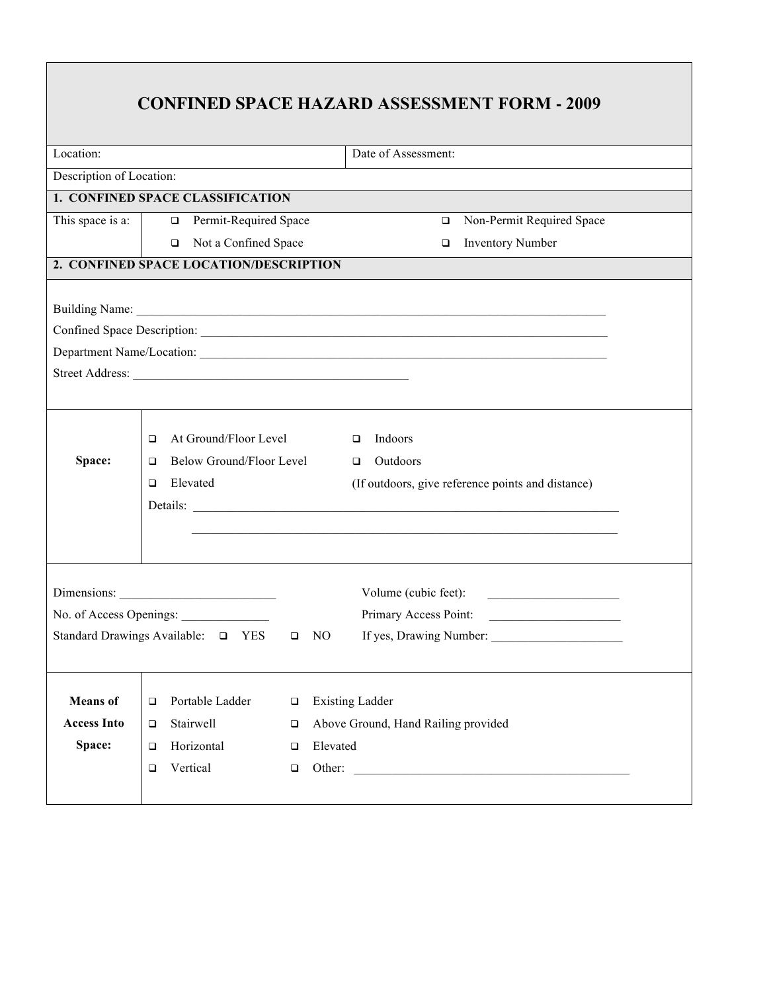|                          |                                                   | <b>CONFINED SPACE HAZARD ASSESSMENT FORM - 2009</b>                                                              |
|--------------------------|---------------------------------------------------|------------------------------------------------------------------------------------------------------------------|
|                          |                                                   |                                                                                                                  |
| Location:                |                                                   | Date of Assessment:                                                                                              |
| Description of Location: |                                                   |                                                                                                                  |
|                          | <b>1. CONFINED SPACE CLASSIFICATION</b>           |                                                                                                                  |
|                          | This space is a: $\Box$ Permit-Required Space     | Non-Permit Required Space<br>□                                                                                   |
|                          | Not a Confined Space<br>$\Box$                    | <b>Inventory Number</b><br>□                                                                                     |
|                          | 2. CONFINED SPACE LOCATION/DESCRIPTION            |                                                                                                                  |
|                          |                                                   |                                                                                                                  |
|                          |                                                   |                                                                                                                  |
|                          |                                                   |                                                                                                                  |
|                          |                                                   |                                                                                                                  |
|                          |                                                   |                                                                                                                  |
|                          |                                                   |                                                                                                                  |
|                          | At Ground/Floor Level<br>$\Box$                   | Indoors<br>$\Box$                                                                                                |
| Space:                   | Below Ground/Floor Level                          | Outdoors                                                                                                         |
|                          | $\Box$<br>Elevated                                | $\Box$                                                                                                           |
|                          | $\Box$                                            | (If outdoors, give reference points and distance)                                                                |
|                          |                                                   |                                                                                                                  |
|                          |                                                   | and the control of the control of the control of the control of the control of the control of the control of the |
|                          |                                                   |                                                                                                                  |
|                          |                                                   | Volume (cubic feet):                                                                                             |
|                          |                                                   | Primary Access Point:                                                                                            |
|                          | Standard Drawings Available: $\Box$ YES $\Box$ NO | If yes, Drawing Number:                                                                                          |
|                          |                                                   |                                                                                                                  |
|                          |                                                   |                                                                                                                  |
| <b>Means</b> of          | Portable Ladder<br>$\Box$<br>$\Box$               | <b>Existing Ladder</b>                                                                                           |
| <b>Access Into</b>       | Stairwell<br>$\Box$<br>$\Box$                     | Above Ground, Hand Railing provided                                                                              |
| Space:                   | Horizontal<br>$\Box$<br>$\Box$                    | Elevated                                                                                                         |
|                          | Vertical<br>$\Box$<br>$\Box$                      | Other:                                                                                                           |
|                          |                                                   |                                                                                                                  |

 $\overline{\mathcal{L}^{\mathcal{A}}(\mathcal{A})}$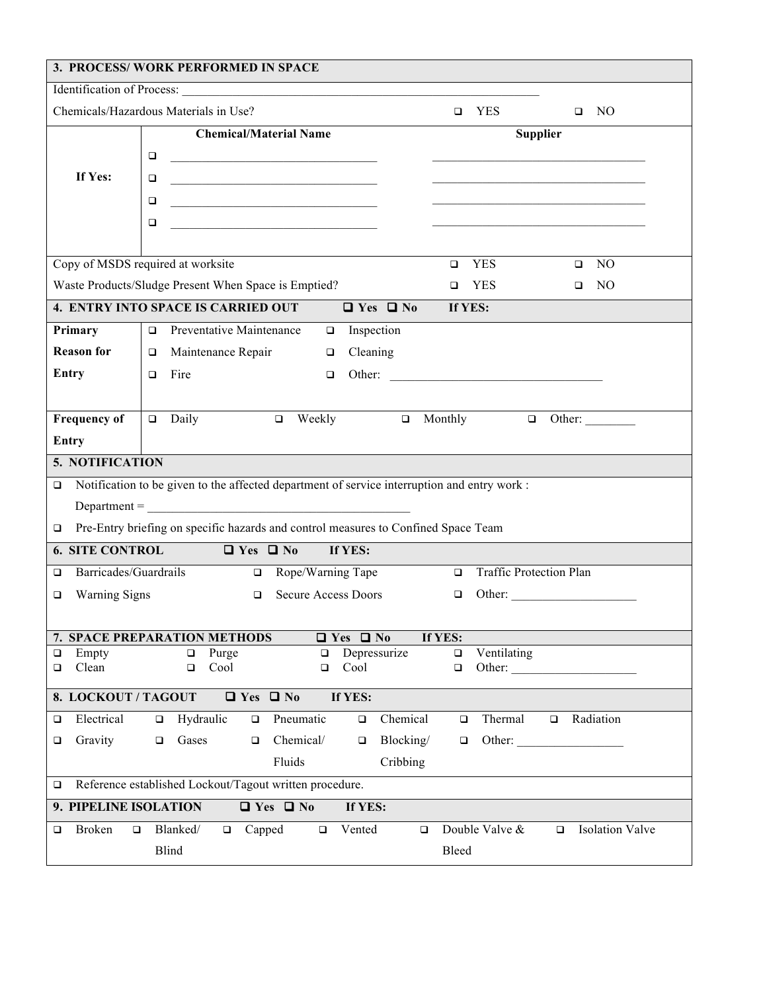|                                                                   | 3. PROCESS/ WORK PERFORMED IN SPACE                                                                                              |                        |  |  |  |  |
|-------------------------------------------------------------------|----------------------------------------------------------------------------------------------------------------------------------|------------------------|--|--|--|--|
|                                                                   |                                                                                                                                  |                        |  |  |  |  |
|                                                                   | Chemicals/Hazardous Materials in Use?<br>YES<br>$\Box$<br>$\Box$                                                                 | NO                     |  |  |  |  |
|                                                                   | <b>Chemical/Material Name</b><br><b>Supplier</b>                                                                                 |                        |  |  |  |  |
|                                                                   | $\Box$<br><u> 1989 - Johann Barn, mars ann an t-Amhain Aonaich an t-Aonaich an t-Aonaich an t-Aonaich an t-Aonaich ann an t-</u> |                        |  |  |  |  |
| If Yes:                                                           | $\Box$<br><u> 1989 - Johann Barn, mars eta bainar eta bainar eta baina eta baina eta baina eta baina eta baina eta baina e</u>   |                        |  |  |  |  |
|                                                                   | $\Box$<br><u> 1989 - Johann Barbara, martxa alemaniar a</u>                                                                      |                        |  |  |  |  |
|                                                                   | $\Box$<br><u> 1989 - Johann Barbara, martxa alemaniar a</u>                                                                      |                        |  |  |  |  |
|                                                                   |                                                                                                                                  |                        |  |  |  |  |
|                                                                   | Copy of MSDS required at worksite<br><b>YES</b><br>$\Box$                                                                        | $\Box$ NO              |  |  |  |  |
|                                                                   | Waste Products/Sludge Present When Space is Emptied?<br><b>YES</b><br>$\Box$<br>$\Box$                                           | NO                     |  |  |  |  |
|                                                                   | 4. ENTRY INTO SPACE IS CARRIED OUT<br>$\Box$ Yes $\Box$ No<br>If YES:                                                            |                        |  |  |  |  |
| Primary                                                           | Inspection<br>Preventative Maintenance<br>$\Box$<br>$\Box$                                                                       |                        |  |  |  |  |
| <b>Reason for</b>                                                 | Cleaning<br>Maintenance Repair<br>$\Box$<br>$\Box$                                                                               |                        |  |  |  |  |
| Entry                                                             | Fire<br>$\Box$<br>$\Box$                                                                                                         |                        |  |  |  |  |
|                                                                   |                                                                                                                                  |                        |  |  |  |  |
| <b>Frequency of</b>                                               | Daily<br>Weekly<br>$\Box$ Monthly<br>$\Box$<br>$\boxed{)}$ Other:<br>$\Box$                                                      |                        |  |  |  |  |
| Entry                                                             |                                                                                                                                  |                        |  |  |  |  |
| 5. NOTIFICATION                                                   |                                                                                                                                  |                        |  |  |  |  |
| $\Box$                                                            | Notification to be given to the affected department of service interruption and entry work:                                      |                        |  |  |  |  |
|                                                                   | $Department =$                                                                                                                   |                        |  |  |  |  |
| $\Box$                                                            | Pre-Entry briefing on specific hazards and control measures to Confined Space Team                                               |                        |  |  |  |  |
| <b>6. SITE CONTROL</b>                                            | $\overline{Q}$ Yes $\overline{Q}$ No<br>If YES:                                                                                  |                        |  |  |  |  |
| Barricades/Guardrails<br>◻                                        | <b>Traffic Protection Plan</b><br>Rope/Warning Tape<br>$\Box$<br>$\Box$                                                          |                        |  |  |  |  |
| <b>Warning Signs</b><br>$\Box$                                    | <b>Secure Access Doors</b><br>Other:<br>$\Box$<br>$\Box$                                                                         |                        |  |  |  |  |
|                                                                   |                                                                                                                                  |                        |  |  |  |  |
|                                                                   | $\Box$ Yes $\Box$ No<br>7. SPACE PREPARATION METHODS<br>If YES:                                                                  |                        |  |  |  |  |
| Empty<br>$\Box$<br>Clean<br>□                                     | Depressurize<br>Ventilating<br>Purge<br>$\Box$<br>$\Box$<br>$\Box$<br>Cool<br>Cool<br>Other:<br>$\Box$<br>$\Box$<br>$\Box$       |                        |  |  |  |  |
|                                                                   |                                                                                                                                  |                        |  |  |  |  |
| 8. LOCKOUT / TAGOUT                                               | $\Box$ Yes $\Box$ No<br>If YES:                                                                                                  |                        |  |  |  |  |
| Electrical<br>□                                                   | $\Box$ Hydraulic<br>Pneumatic<br>Chemical<br>Thermal<br>$\Box$<br>$\Box$<br>$\Box$<br>$\Box$                                     | Radiation              |  |  |  |  |
| Gravity<br>□                                                      | Chemical/<br>Gases<br>Blocking/<br>$\Box$<br>$\Box$<br>$\Box$<br>$\Box$                                                          |                        |  |  |  |  |
|                                                                   | Fluids<br>Cribbing                                                                                                               |                        |  |  |  |  |
| Reference established Lockout/Tagout written procedure.<br>$\Box$ |                                                                                                                                  |                        |  |  |  |  |
| $\Box$ Yes $\Box$ No<br>9. PIPELINE ISOLATION<br>If YES:          |                                                                                                                                  |                        |  |  |  |  |
| Broken<br>$\Box$                                                  | Blanked/<br>$\Box$ Capped<br>Vented<br>Double Valve &<br>$\Box$<br>$\Box$<br>$\Box$<br>$\Box$                                    | <b>Isolation Valve</b> |  |  |  |  |
|                                                                   | <b>Blind</b><br>Bleed                                                                                                            |                        |  |  |  |  |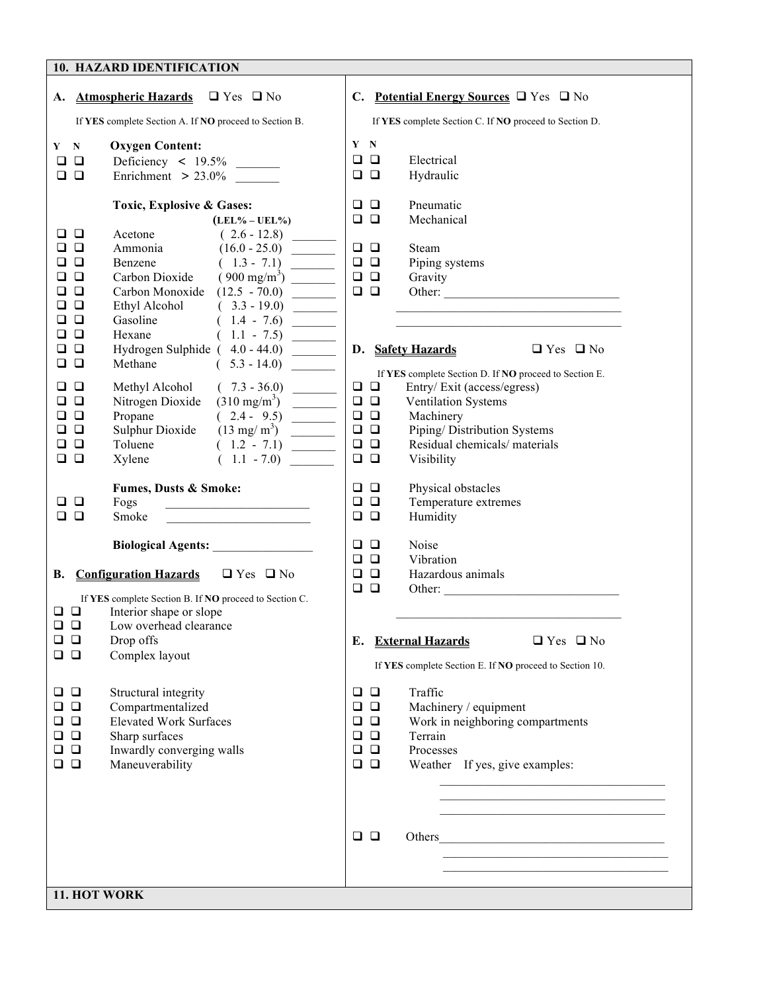| <b>10. HAZARD IDENTIFICATION</b>                                                                                                                                                                                                                                                                       |                                                                                                                                                                                                                                                                                               |  |  |  |  |  |
|--------------------------------------------------------------------------------------------------------------------------------------------------------------------------------------------------------------------------------------------------------------------------------------------------------|-----------------------------------------------------------------------------------------------------------------------------------------------------------------------------------------------------------------------------------------------------------------------------------------------|--|--|--|--|--|
| A. Atmospheric Hazards U Yes U No                                                                                                                                                                                                                                                                      | C. Potential Energy Sources $\Box$ Yes $\Box$ No                                                                                                                                                                                                                                              |  |  |  |  |  |
| If YES complete Section A. If NO proceed to Section B.                                                                                                                                                                                                                                                 | If YES complete Section C. If NO proceed to Section D.                                                                                                                                                                                                                                        |  |  |  |  |  |
| <b>Oxygen Content:</b><br>$\mathbf N$<br>Y<br>$\Box$<br>❏<br>Enrichment > $23.0\%$<br>ם ם                                                                                                                                                                                                              | Y N<br>$\Box$<br>$\Box$<br>Electrical<br>$\Box$ $\Box$<br>Hydraulic                                                                                                                                                                                                                           |  |  |  |  |  |
| Toxic, Explosive & Gases:<br>$(LEL% - UEL%)$                                                                                                                                                                                                                                                           | Q.<br>$\Box$<br>Pneumatic<br>$\Box$<br>Mechanical                                                                                                                                                                                                                                             |  |  |  |  |  |
| $\Box$<br>Acetone<br>$(2.6 - 12.8)$<br>$\Box$<br>Ammonia<br>❏.<br>$\Box$<br>$(1.3 - 7.1)$<br>❏<br>Benzene<br>Benzene $(1.3 - 7.1)$<br>Carbon Dioxide $(900 \text{ mg/m}^3)$<br>$\Box$<br>❏<br>$\Box$<br>❏<br>Ethyl Alcohol $(3.3 - 19.0)$<br>$\Box$<br>❏<br>$(1.4 - 7.6)$<br>Gasoline<br>ם ם           | ם ם<br>Steam<br>$\Box$ $\Box$<br>Piping systems<br>$\Box$ $\Box$<br>Gravity<br>Other: $\qquad \qquad$<br>$\Box$<br>the control of the control of the control of the control of the control of the control of                                                                                  |  |  |  |  |  |
| $(1.1 - 7.5)$<br>$\Box$<br>Hexane<br>❏<br>$\Box$<br>Hydrogen Sulphide (4.0 - 44.0)<br>$\Box$<br>ם ם<br>Methane<br>$(5.3 - 14.0)$                                                                                                                                                                       | D. Safety Hazards<br>$\Box$ Yes $\Box$ No                                                                                                                                                                                                                                                     |  |  |  |  |  |
| $\Box$<br>Methyl Alcohol<br>$(7.3 - 36.0)$<br>❏<br>Nitrogen Dioxide $(310 \text{ mg/m}^3)$ __________<br>$\Box$<br>❏<br>$\Box$<br>Propane $(2.4 - 9.5)$<br>Sulphur Dioxide $(13 \text{ mg/m}^3)$<br>❏<br>$\Box$<br>❏<br>Toluene<br>$(1.2 - 7.1)$<br>$\Box$<br>$\Box$<br>ם ם<br>$(1.1 - 7.0)$<br>Xylene | If YES complete Section D. If NO proceed to Section E.<br>$\Box$<br>Entry/Exit (access/egress)<br>$\Box$ $\Box$<br>Ventilation Systems<br>$\Box$<br>Machinery<br>$\Box$ $\Box$<br>Piping/Distribution Systems<br>$\Box$ $\Box$<br>Residual chemicals/materials<br>$\Box$ $\Box$<br>Visibility |  |  |  |  |  |
| <b>Fumes, Dusts &amp; Smoke:</b><br>$\Box$<br>Fogs<br>ם ם<br>Smoke                                                                                                                                                                                                                                     | $\Box$ $\Box$<br>Physical obstacles<br>$\Box$ $\Box$<br>Temperature extremes<br>$\Box$<br>Humidity                                                                                                                                                                                            |  |  |  |  |  |
| Biological Agents: _________________                                                                                                                                                                                                                                                                   | Noise<br>$\Box$                                                                                                                                                                                                                                                                               |  |  |  |  |  |
| <b>Configuration Hazards</b> $\Box$ Yes $\Box$ No<br><b>B.</b>                                                                                                                                                                                                                                         | $\Box$<br>Vibration<br>$\Box$<br>Hazardous animals<br>$\Box$ $\Box$                                                                                                                                                                                                                           |  |  |  |  |  |
| If YES complete Section B. If NO proceed to Section C.<br>ם ם<br>Interior shape or slope                                                                                                                                                                                                               |                                                                                                                                                                                                                                                                                               |  |  |  |  |  |
| $\Box$<br>❏<br>Low overhead clearance<br>$\Box$<br>$\Box$<br>Drop offs                                                                                                                                                                                                                                 | $\Box$ Yes $\Box$ No<br>E. External Hazards                                                                                                                                                                                                                                                   |  |  |  |  |  |
| $\Box$<br>Complex layout                                                                                                                                                                                                                                                                               | If YES complete Section E. If NO proceed to Section 10.                                                                                                                                                                                                                                       |  |  |  |  |  |
| $\Box$ $\Box$<br>Structural integrity<br>$\Box$ $\Box$<br>Compartmentalized<br>$\Box$ $\Box$<br><b>Elevated Work Surfaces</b><br>$\Box$ $\Box$<br>Sharp surfaces<br>Inwardly converging walls<br>$\Box$<br>$\Box$<br>$\Box$ $\Box$<br>Maneuverability                                                  | $\Box$<br>Traffic<br>$\Box$<br>Machinery / equipment<br>$\Box$ $\Box$<br>Work in neighboring compartments<br>$\Box$ $\Box$<br>Terrain<br>$\Box$ $\Box$<br>Processes<br>$\Box$ $\Box$<br>Weather If yes, give examples:                                                                        |  |  |  |  |  |
|                                                                                                                                                                                                                                                                                                        | $\Box$                                                                                                                                                                                                                                                                                        |  |  |  |  |  |
| 11. HOT WORK                                                                                                                                                                                                                                                                                           |                                                                                                                                                                                                                                                                                               |  |  |  |  |  |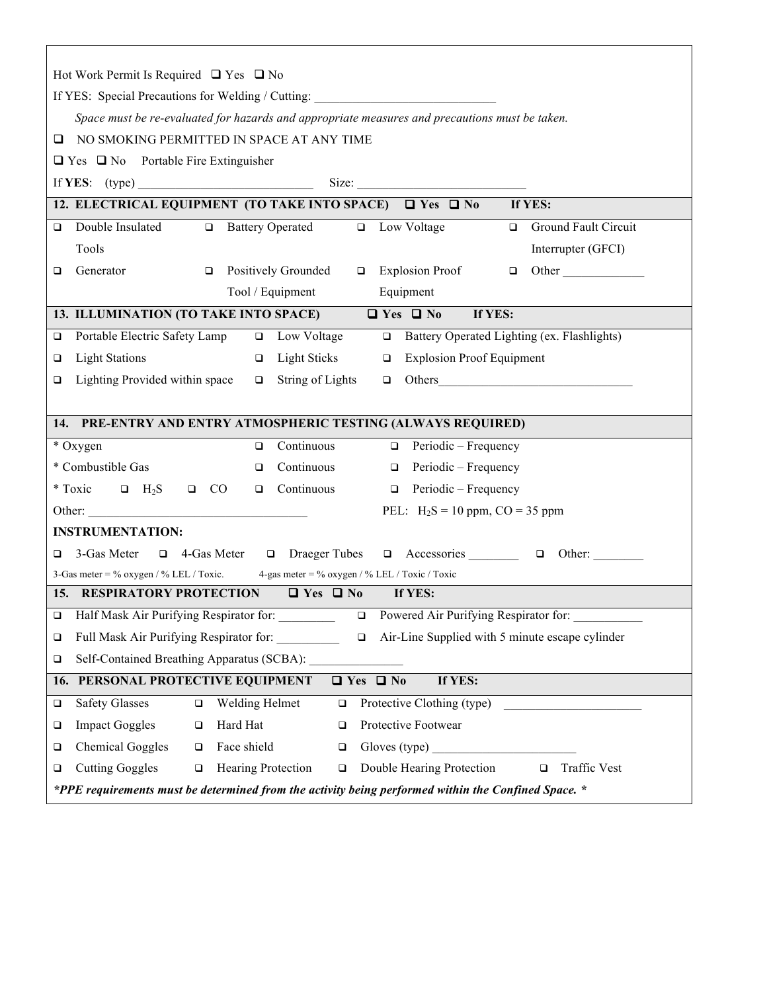| Hot Work Permit Is Required $\Box$ Yes $\Box$ No                                                                                    |
|-------------------------------------------------------------------------------------------------------------------------------------|
| If YES: Special Precautions for Welding / Cutting: _____________________________                                                    |
| Space must be re-evaluated for hazards and appropriate measures and precautions must be taken.                                      |
| NO SMOKING PERMITTED IN SPACE AT ANY TIME<br>□                                                                                      |
| $\Box$ Yes $\Box$ No Portable Fire Extinguisher                                                                                     |
| If YES: (type) Size:                                                                                                                |
| 12. ELECTRICAL EQUIPMENT (TO TAKE INTO SPACE) I Yes I No<br>If YES:                                                                 |
| Double Insulated a Battery Operated<br>$\Box$ Low Voltage<br>Ground Fault Circuit<br>$\Box$                                         |
| Tools<br>Interrupter (GFCI)                                                                                                         |
| $\Box$ Explosion Proof<br>$\Box$ Other<br>Generator<br>$\Box$ Positively Grounded<br>$\Box$                                         |
| Tool / Equipment<br>Equipment                                                                                                       |
| 13. ILLUMINATION (TO TAKE INTO SPACE)<br>$\overline{Q}$ Yes $\overline{Q}$ No<br>If YES:                                            |
| Portable Electric Safety Lamp<br>$\overline{\Box}$ Low Voltage<br>$\Box$ Battery Operated Lighting (ex. Flashlights)<br>□           |
| <b>Light Stations</b><br>$\Box$ Light Sticks<br>$\Box$ Explosion Proof Equipment<br>$\Box$                                          |
| $\Box$ Others<br>Lighting Provided within space<br>$\Box$<br>String of Lights<br>$\Box$                                             |
|                                                                                                                                     |
| 14. PRE-ENTRY AND ENTRY ATMOSPHERIC TESTING (ALWAYS REQUIRED)                                                                       |
| * Oxygen<br>Continuous<br>Periodic – Frequency<br>$\Box$<br>$\Box$                                                                  |
| * Combustible Gas<br>Continuous<br>$\Box$ Periodic – Frequency<br>$\Box$                                                            |
| * Toxic $\Box$ H <sub>2</sub> S $\Box$ CO<br>$\Box$ Continuous<br>$\Box$ Periodic – Frequency                                       |
| Other:<br>PEL: $H_2S = 10$ ppm, $CO = 35$ ppm                                                                                       |
| <b>INSTRUMENTATION:</b>                                                                                                             |
| 3-Gas Meter $\Box$ 4-Gas Meter $\Box$ Draeger Tubes $\Box$ Accessories $\Box$ Other:<br>$\Box$                                      |
| 4-gas meter = $\%$ oxygen / $\%$ LEL / Toxic / Toxic<br>3-Gas meter = $\%$ oxygen / $\%$ LEL / Toxic.                               |
| <b>15. RESPIRATORY PROTECTION</b><br>$\overline{\Box$ Yes $\overline{\Box}$ No<br>If YES:                                           |
|                                                                                                                                     |
| Full Mask Air Purifying Respirator for:<br>$\Box$ Air-Line Supplied with 5 minute escape cylinder<br>❏                              |
| Self-Contained Breathing Apparatus (SCBA): _________<br>$\Box$                                                                      |
| <b>16. PERSONAL PROTECTIVE EQUIPMENT</b><br>If YES:<br>$\Box$ Yes $\Box$ No                                                         |
| $\Box$ Welding Helmet<br><b>Safety Glasses</b><br>Protective Clothing (type)<br>$\Box$<br>$\Box$                                    |
| Hard Hat<br><b>Impact Goggles</b><br>Protective Footwear<br>$\Box$<br>$\Box$<br>❏                                                   |
| Face shield<br><b>Chemical Goggles</b><br>Gloves (type)<br>$\Box$<br>$\Box$<br>❏                                                    |
| Hearing Protection<br>Double Hearing Protection<br><b>Traffic Vest</b><br><b>Cutting Goggles</b><br>$\Box$<br>$\Box$<br>$\Box$<br>❏ |
| *PPE requirements must be determined from the activity being performed within the Confined Space. *                                 |

Г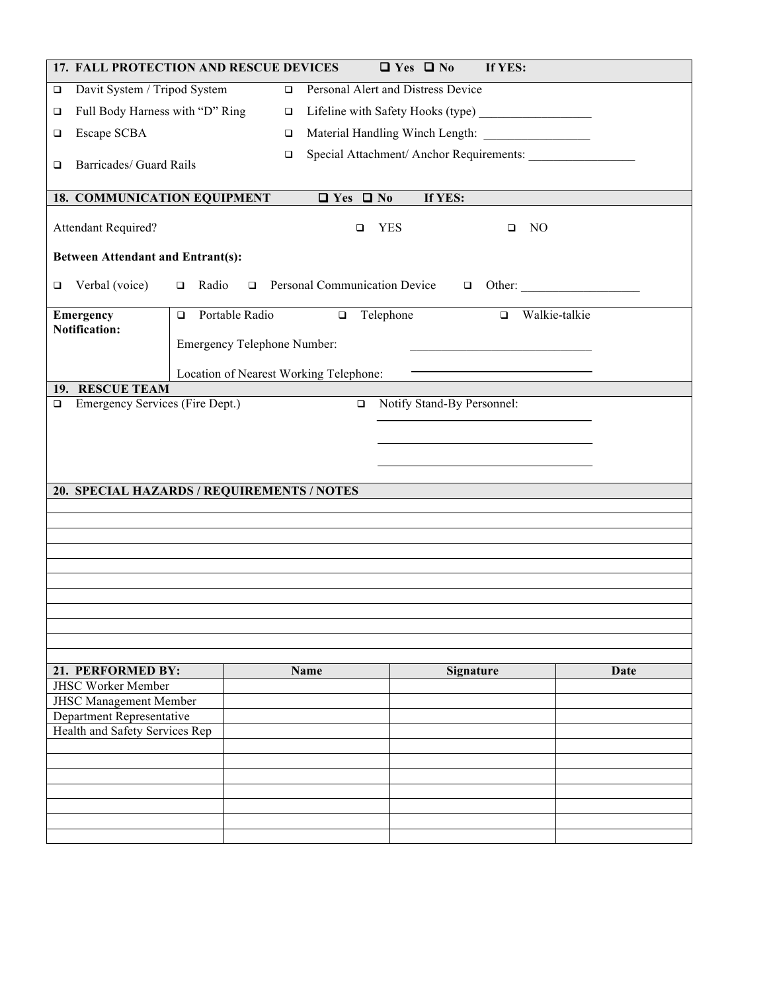| 17. FALL PROTECTION AND RESCUE DEVICES                         |                                                                               |                                        | $\sqrt{2} \text{ Yes } \sqrt{2} \text{ No }$ | If YES:                                                        |      |  |  |
|----------------------------------------------------------------|-------------------------------------------------------------------------------|----------------------------------------|----------------------------------------------|----------------------------------------------------------------|------|--|--|
| Davit System / Tripod System<br>$\Box$                         |                                                                               | $\Box$                                 | Personal Alert and Distress Device           |                                                                |      |  |  |
| Full Body Harness with "D" Ring<br>❏                           |                                                                               | $\Box$                                 |                                              |                                                                |      |  |  |
| Escape SCBA<br>$\Box$                                          |                                                                               | $\Box$                                 |                                              |                                                                |      |  |  |
| $\Box$                                                         | Special Attachment/ Anchor Requirements:<br>$\Box$<br>Barricades/ Guard Rails |                                        |                                              |                                                                |      |  |  |
| <b>18. COMMUNICATION EQUIPMENT</b>                             |                                                                               | $\Box$ Yes $\Box$ No                   | If YES:                                      |                                                                |      |  |  |
| Attendant Required?                                            |                                                                               | □                                      | <b>YES</b>                                   | NO<br>$\Box$                                                   |      |  |  |
| <b>Between Attendant and Entrant(s):</b>                       |                                                                               |                                        |                                              |                                                                |      |  |  |
| Verbal (voice)<br>□                                            | Radio<br>$\Box$                                                               | <b>D</b> Personal Communication Device |                                              |                                                                |      |  |  |
| <b>Emergency</b>                                               | Portable Radio<br>$\Box$                                                      | $\Box$                                 | Telephone                                    | Walkie-talkie<br>$\Box$                                        |      |  |  |
| <b>Notification:</b>                                           | Emergency Telephone Number:                                                   |                                        |                                              |                                                                |      |  |  |
|                                                                | Location of Nearest Working Telephone:                                        |                                        |                                              | <u> 1980 - Johann Barn, mars an t-Amerikaansk ferskeider (</u> |      |  |  |
| <b>19. RESCUE TEAM</b><br>Emergency Services (Fire Dept.)<br>□ |                                                                               | $\Box$                                 | Notify Stand-By Personnel:                   |                                                                |      |  |  |
|                                                                | 20. SPECIAL HAZARDS / REQUIREMENTS / NOTES                                    |                                        |                                              |                                                                |      |  |  |
|                                                                |                                                                               |                                        |                                              |                                                                |      |  |  |
|                                                                |                                                                               |                                        |                                              |                                                                |      |  |  |
|                                                                |                                                                               |                                        |                                              |                                                                |      |  |  |
|                                                                |                                                                               |                                        |                                              |                                                                |      |  |  |
|                                                                |                                                                               |                                        |                                              |                                                                |      |  |  |
|                                                                |                                                                               |                                        |                                              |                                                                |      |  |  |
|                                                                |                                                                               |                                        |                                              |                                                                |      |  |  |
|                                                                |                                                                               |                                        |                                              |                                                                |      |  |  |
| 21. PERFORMED BY:                                              |                                                                               | Name                                   | <b>Signature</b>                             |                                                                | Date |  |  |
| <b>JHSC Worker Member</b><br><b>JHSC Management Member</b>     |                                                                               |                                        |                                              |                                                                |      |  |  |
| Department Representative                                      |                                                                               |                                        |                                              |                                                                |      |  |  |
| Health and Safety Services Rep                                 |                                                                               |                                        |                                              |                                                                |      |  |  |
|                                                                |                                                                               |                                        |                                              |                                                                |      |  |  |
|                                                                |                                                                               |                                        |                                              |                                                                |      |  |  |
|                                                                |                                                                               |                                        |                                              |                                                                |      |  |  |
|                                                                |                                                                               |                                        |                                              |                                                                |      |  |  |
|                                                                |                                                                               |                                        |                                              |                                                                |      |  |  |
|                                                                |                                                                               |                                        |                                              |                                                                |      |  |  |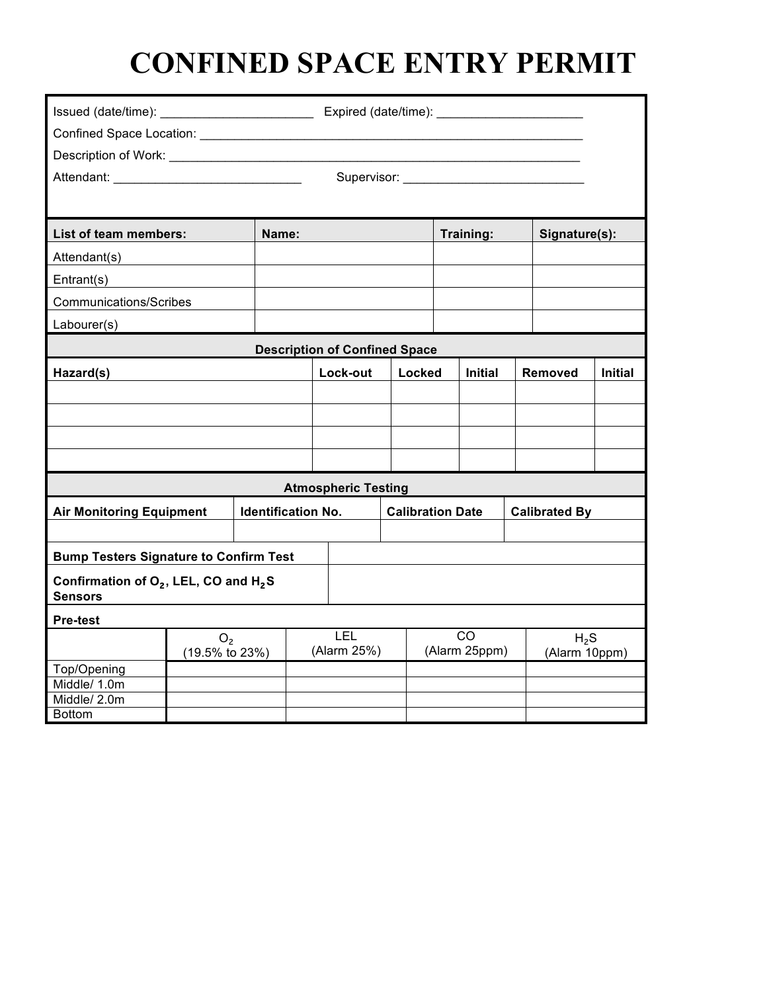## **CONFINED SPACE ENTRY PERMIT**

| Confined Space Location: ________                                                                                                                                                                                              |                                  |                           |  |                                      |  |                      |                                                                                                                                                                                                                                |  |                                   |         |
|--------------------------------------------------------------------------------------------------------------------------------------------------------------------------------------------------------------------------------|----------------------------------|---------------------------|--|--------------------------------------|--|----------------------|--------------------------------------------------------------------------------------------------------------------------------------------------------------------------------------------------------------------------------|--|-----------------------------------|---------|
|                                                                                                                                                                                                                                |                                  |                           |  |                                      |  |                      |                                                                                                                                                                                                                                |  |                                   |         |
| Attendant: New York Street, New York Street, New York Street, New York Street, New York Street, New York Street, New York Street, New York Street, New York Street, New York Street, New York Street, New York Street, New Yor |                                  |                           |  |                                      |  |                      | Supervisor: Analysis of the state of the state of the state of the state of the state of the state of the state of the state of the state of the state of the state of the state of the state of the state of the state of the |  |                                   |         |
|                                                                                                                                                                                                                                |                                  |                           |  |                                      |  |                      |                                                                                                                                                                                                                                |  |                                   |         |
| List of team members:                                                                                                                                                                                                          |                                  | Name:                     |  |                                      |  |                      | Training:                                                                                                                                                                                                                      |  | Signature(s):                     |         |
| Attendant(s)                                                                                                                                                                                                                   |                                  |                           |  |                                      |  |                      |                                                                                                                                                                                                                                |  |                                   |         |
| Entrant(s)                                                                                                                                                                                                                     |                                  |                           |  |                                      |  |                      |                                                                                                                                                                                                                                |  |                                   |         |
| <b>Communications/Scribes</b>                                                                                                                                                                                                  |                                  |                           |  |                                      |  |                      |                                                                                                                                                                                                                                |  |                                   |         |
| Labourer(s)                                                                                                                                                                                                                    |                                  |                           |  |                                      |  |                      |                                                                                                                                                                                                                                |  |                                   |         |
|                                                                                                                                                                                                                                |                                  |                           |  | <b>Description of Confined Space</b> |  |                      |                                                                                                                                                                                                                                |  |                                   |         |
| Hazard(s)                                                                                                                                                                                                                      |                                  |                           |  | Lock-out                             |  | Locked               | <b>Initial</b>                                                                                                                                                                                                                 |  | Removed                           | Initial |
|                                                                                                                                                                                                                                |                                  |                           |  |                                      |  |                      |                                                                                                                                                                                                                                |  |                                   |         |
|                                                                                                                                                                                                                                |                                  |                           |  |                                      |  |                      |                                                                                                                                                                                                                                |  |                                   |         |
|                                                                                                                                                                                                                                |                                  |                           |  |                                      |  |                      |                                                                                                                                                                                                                                |  |                                   |         |
|                                                                                                                                                                                                                                |                                  |                           |  |                                      |  |                      |                                                                                                                                                                                                                                |  |                                   |         |
|                                                                                                                                                                                                                                |                                  |                           |  | <b>Atmospheric Testing</b>           |  |                      |                                                                                                                                                                                                                                |  |                                   |         |
| <b>Air Monitoring Equipment</b>                                                                                                                                                                                                |                                  | <b>Identification No.</b> |  | <b>Calibration Date</b>              |  | <b>Calibrated By</b> |                                                                                                                                                                                                                                |  |                                   |         |
|                                                                                                                                                                                                                                |                                  |                           |  |                                      |  |                      |                                                                                                                                                                                                                                |  |                                   |         |
| <b>Bump Testers Signature to Confirm Test</b>                                                                                                                                                                                  |                                  |                           |  |                                      |  |                      |                                                                                                                                                                                                                                |  |                                   |         |
| Confirmation of O <sub>2</sub> , LEL, CO and H <sub>2</sub> S<br><b>Sensors</b>                                                                                                                                                |                                  |                           |  |                                      |  |                      |                                                                                                                                                                                                                                |  |                                   |         |
| Pre-test                                                                                                                                                                                                                       |                                  |                           |  |                                      |  |                      |                                                                                                                                                                                                                                |  |                                   |         |
|                                                                                                                                                                                                                                | O <sub>2</sub><br>(19.5% to 23%) |                           |  | LEL<br>(Alarm 25%)                   |  |                      | $\overline{CO}$<br>(Alarm 25ppm)                                                                                                                                                                                               |  | H <sub>2</sub> S<br>(Alarm 10ppm) |         |
| Top/Opening<br>Middle/ 1.0m                                                                                                                                                                                                    |                                  |                           |  |                                      |  |                      |                                                                                                                                                                                                                                |  |                                   |         |
| Middle/ 2.0m                                                                                                                                                                                                                   |                                  |                           |  |                                      |  |                      |                                                                                                                                                                                                                                |  |                                   |         |
| <b>Bottom</b>                                                                                                                                                                                                                  |                                  |                           |  |                                      |  |                      |                                                                                                                                                                                                                                |  |                                   |         |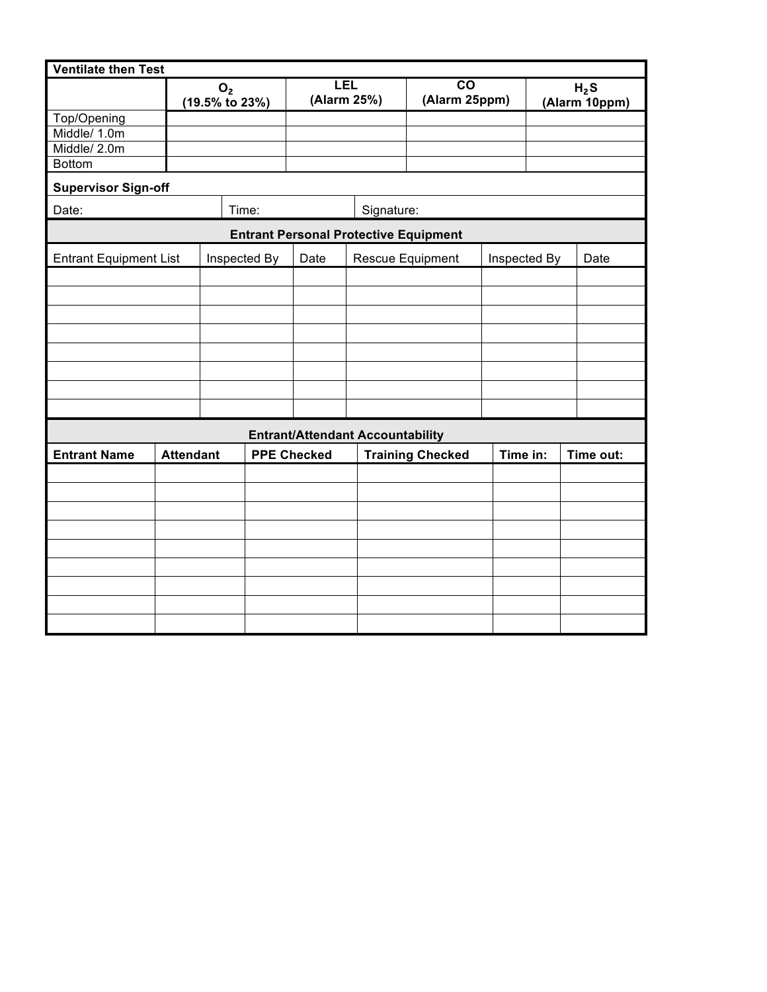| <b>Ventilate then Test</b>    |                  |                                      |  |                                              |            |                                  |          |                                   |           |
|-------------------------------|------------------|--------------------------------------|--|----------------------------------------------|------------|----------------------------------|----------|-----------------------------------|-----------|
|                               |                  | $O_2$<br>$(19.5\% \text{ to } 23\%)$ |  | <b>LEL</b><br>(Alarm 25%)                    |            | $\overline{co}$<br>(Alarm 25ppm) |          | H <sub>2</sub> S<br>(Alarm 10ppm) |           |
| Top/Opening                   |                  |                                      |  |                                              |            |                                  |          |                                   |           |
| Middle/ 1.0m                  |                  |                                      |  |                                              |            |                                  |          |                                   |           |
| Middle/ 2.0m                  |                  |                                      |  |                                              |            |                                  |          |                                   |           |
| <b>Bottom</b>                 |                  |                                      |  |                                              |            |                                  |          |                                   |           |
| <b>Supervisor Sign-off</b>    |                  |                                      |  |                                              |            |                                  |          |                                   |           |
| Date:                         |                  | Time:                                |  |                                              | Signature: |                                  |          |                                   |           |
|                               |                  |                                      |  | <b>Entrant Personal Protective Equipment</b> |            |                                  |          |                                   |           |
| <b>Entrant Equipment List</b> |                  | Inspected By                         |  | Date                                         |            | Rescue Equipment                 |          | Inspected By                      | Date      |
|                               |                  |                                      |  |                                              |            |                                  |          |                                   |           |
|                               |                  |                                      |  |                                              |            |                                  |          |                                   |           |
|                               |                  |                                      |  |                                              |            |                                  |          |                                   |           |
|                               |                  |                                      |  |                                              |            |                                  |          |                                   |           |
|                               |                  |                                      |  |                                              |            |                                  |          |                                   |           |
|                               |                  |                                      |  |                                              |            |                                  |          |                                   |           |
|                               |                  |                                      |  |                                              |            |                                  |          |                                   |           |
|                               |                  |                                      |  | <b>Entrant/Attendant Accountability</b>      |            |                                  |          |                                   |           |
| <b>Entrant Name</b>           | <b>Attendant</b> |                                      |  | <b>PPE Checked</b>                           |            | <b>Training Checked</b>          | Time in: |                                   | Time out: |
|                               |                  |                                      |  |                                              |            |                                  |          |                                   |           |
|                               |                  |                                      |  |                                              |            |                                  |          |                                   |           |
|                               |                  |                                      |  |                                              |            |                                  |          |                                   |           |
|                               |                  |                                      |  |                                              |            |                                  |          |                                   |           |
|                               |                  |                                      |  |                                              |            |                                  |          |                                   |           |
|                               |                  |                                      |  |                                              |            |                                  |          |                                   |           |
|                               |                  |                                      |  |                                              |            |                                  |          |                                   |           |
|                               |                  |                                      |  |                                              |            |                                  |          |                                   |           |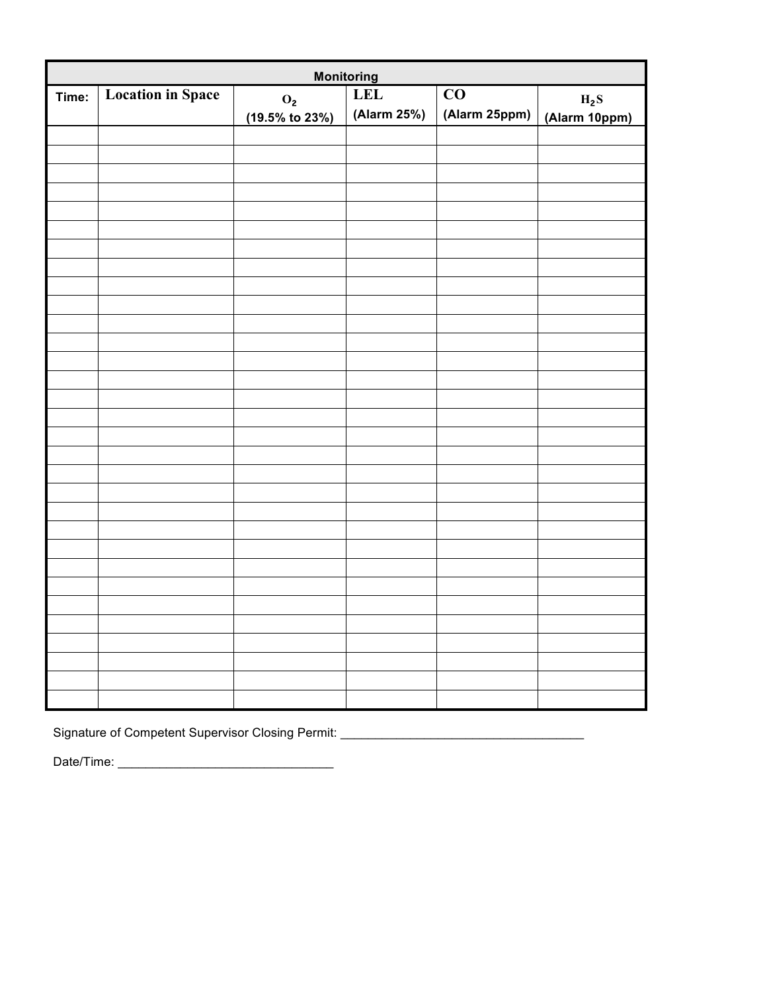| <b>Monitoring</b><br>$\overline{co}$ |                          |                                  |             |               |               |  |  |  |  |
|--------------------------------------|--------------------------|----------------------------------|-------------|---------------|---------------|--|--|--|--|
| Time:                                | <b>Location in Space</b> | $H_2S$                           |             |               |               |  |  |  |  |
|                                      |                          | O <sub>2</sub><br>(19.5% to 23%) | (Alarm 25%) | (Alarm 25ppm) | (Alarm 10ppm) |  |  |  |  |
|                                      |                          |                                  |             |               |               |  |  |  |  |
|                                      |                          |                                  |             |               |               |  |  |  |  |
|                                      |                          |                                  |             |               |               |  |  |  |  |
|                                      |                          |                                  |             |               |               |  |  |  |  |
|                                      |                          |                                  |             |               |               |  |  |  |  |
|                                      |                          |                                  |             |               |               |  |  |  |  |
|                                      |                          |                                  |             |               |               |  |  |  |  |
|                                      |                          |                                  |             |               |               |  |  |  |  |
|                                      |                          |                                  |             |               |               |  |  |  |  |
|                                      |                          |                                  |             |               |               |  |  |  |  |
|                                      |                          |                                  |             |               |               |  |  |  |  |
|                                      |                          |                                  |             |               |               |  |  |  |  |
|                                      |                          |                                  |             |               |               |  |  |  |  |
|                                      |                          |                                  |             |               |               |  |  |  |  |
|                                      |                          |                                  |             |               |               |  |  |  |  |
|                                      |                          |                                  |             |               |               |  |  |  |  |
|                                      |                          |                                  |             |               |               |  |  |  |  |
|                                      |                          |                                  |             |               |               |  |  |  |  |
|                                      |                          |                                  |             |               |               |  |  |  |  |
|                                      |                          |                                  |             |               |               |  |  |  |  |
|                                      |                          |                                  |             |               |               |  |  |  |  |
|                                      |                          |                                  |             |               |               |  |  |  |  |
|                                      |                          |                                  |             |               |               |  |  |  |  |
|                                      |                          |                                  |             |               |               |  |  |  |  |
|                                      |                          |                                  |             |               |               |  |  |  |  |
|                                      |                          |                                  |             |               |               |  |  |  |  |
|                                      |                          |                                  |             |               |               |  |  |  |  |
|                                      |                          |                                  |             |               |               |  |  |  |  |
|                                      |                          |                                  |             |               |               |  |  |  |  |
|                                      |                          |                                  |             |               |               |  |  |  |  |
|                                      |                          |                                  |             |               |               |  |  |  |  |

Signature of Competent Supervisor Closing Permit: \_\_\_\_\_\_\_\_\_\_\_\_\_\_\_\_\_\_\_\_\_\_\_\_\_\_\_\_\_\_\_

Date/Time: \_\_\_\_\_\_\_\_\_\_\_\_\_\_\_\_\_\_\_\_\_\_\_\_\_\_\_\_\_\_\_